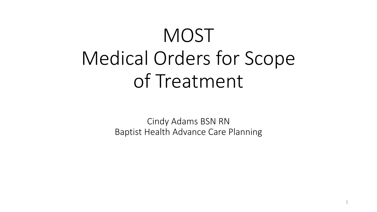# **MOST** Medical Orders for Scope of Treatment

Cindy Adams BSN RN Baptist Health Advance Care Planning

1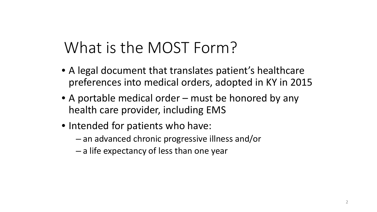## What is the MOST Form?

- A legal document that translates patient's healthcare preferences into medical orders, adopted in KY in 2015
- A portable medical order must be honored by any health care provider, including EMS
- Intended for patients who have:
	- an advanced chronic progressive illness and/or
	- a life expectancy of less than one year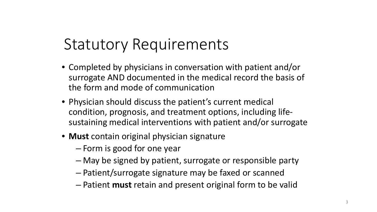### Statutory Requirements

- Completed by physicians in conversation with patient and/or surrogate AND documented in the medical record the basis of the form and mode of communication
- Physician should discuss the patient's current medical condition, prognosis, and treatment options, including lifesustaining medical interventions with patient and/or surrogate
- **Must** contain original physician signature
	- Form is good for one year
	- May be signed by patient, surrogate or responsible party
	- Patient/surrogate signature may be faxed or scanned
	- Patient **must** retain and present original form to be valid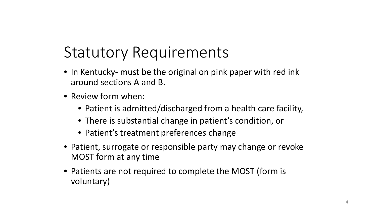### Statutory Requirements

- In Kentucky- must be the original on pink paper with red ink around sections A and B.
- Review form when:
	- Patient is admitted/discharged from a health care facility,
	- There is substantial change in patient's condition, or
	- Patient's treatment preferences change
- Patient, surrogate or responsible party may change or revoke MOST form at any time
- Patients are not required to complete the MOST (form is voluntary)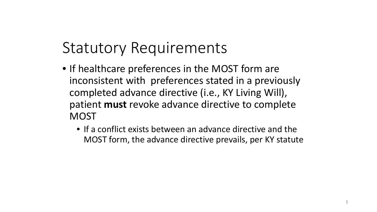### Statutory Requirements

- If healthcare preferences in the MOST form are inconsistent with preferences stated in a previously completed advance directive (i.e., KY Living Will), patient **must** revoke advance directive to complete **MOST** 
	- If a conflict exists between an advance directive and the MOST form, the advance directive prevails, per KY statute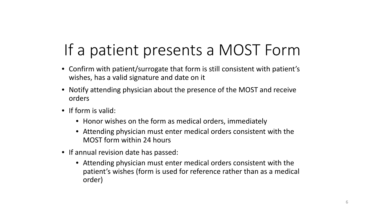## If a patient presents a MOST Form

- Confirm with patient/surrogate that form is still consistent with patient's wishes, has a valid signature and date on it
- Notify attending physician about the presence of the MOST and receive orders
- If form is valid:
	- Honor wishes on the form as medical orders, immediately
	- Attending physician must enter medical orders consistent with the MOST form within 24 hours
- If annual revision date has passed:
	- Attending physician must enter medical orders consistent with the patient's wishes (form is used for reference rather than as a medical order)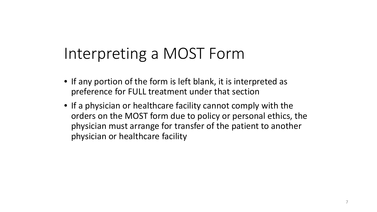### Interpreting a MOST Form

- If any portion of the form is left blank, it is interpreted as preference for FULL treatment under that section
- If a physician or healthcare facility cannot comply with the orders on the MOST form due to policy or personal ethics, the physician must arrange for transfer of the patient to another physician or healthcare facility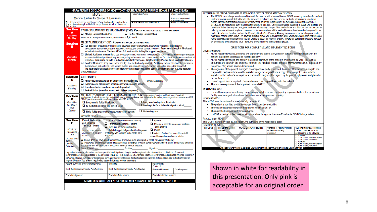|                                                                                                                                                                                                                                        | HIPAA PERMITS DISCLOSURE OF MOST TO OTHER HEALTH CARE PROFESSIONALS AS NECESSARY                                                                                                                                                                                                                                                                                                                                                                                                                                                                                                                                                                                                                                                                                                         |                                                                            |                      |                    |                                            |
|----------------------------------------------------------------------------------------------------------------------------------------------------------------------------------------------------------------------------------------|------------------------------------------------------------------------------------------------------------------------------------------------------------------------------------------------------------------------------------------------------------------------------------------------------------------------------------------------------------------------------------------------------------------------------------------------------------------------------------------------------------------------------------------------------------------------------------------------------------------------------------------------------------------------------------------------------------------------------------------------------------------------------------------|----------------------------------------------------------------------------|----------------------|--------------------|--------------------------------------------|
|                                                                                                                                                                                                                                        | MOST                                                                                                                                                                                                                                                                                                                                                                                                                                                                                                                                                                                                                                                                                                                                                                                     |                                                                            | Patient's Last Name: |                    | Effective Date of Form:                    |
| Medical Orders for Scope of Treatment                                                                                                                                                                                                  |                                                                                                                                                                                                                                                                                                                                                                                                                                                                                                                                                                                                                                                                                                                                                                                          |                                                                            |                      |                    | Form must be reviewed<br>at least annually |
| This document is based on this person's medical condition and wishes.<br>Patient's First Name, Middle Initial:<br>Patient's Date of Birth:<br>Any section not completed indicates a preference for full treatment for<br>that section. |                                                                                                                                                                                                                                                                                                                                                                                                                                                                                                                                                                                                                                                                                                                                                                                          |                                                                            |                      |                    |                                            |
| Section                                                                                                                                                                                                                                | CARDIOPULMONARY RESUSCITATION (CPR): PERSON HAS NO PULSE AND IS NOT BREATHING.                                                                                                                                                                                                                                                                                                                                                                                                                                                                                                                                                                                                                                                                                                           |                                                                            |                      |                    |                                            |
| A<br><b>Check One</b>                                                                                                                                                                                                                  | $\Box$ Attempt Resuscitation (CPR)<br>Do Not Attempt Resuscitation                                                                                                                                                                                                                                                                                                                                                                                                                                                                                                                                                                                                                                                                                                                       |                                                                            |                      |                    |                                            |
| <b>Box Only</b>                                                                                                                                                                                                                        | When not in cardiopulmonary arrest, follow orders in B, C, and D.                                                                                                                                                                                                                                                                                                                                                                                                                                                                                                                                                                                                                                                                                                                        |                                                                            |                      |                    |                                            |
| <b>Section</b><br>B                                                                                                                                                                                                                    | MEDICAL INTERVENTIONS: PERSON HAS PULSE OR IS BREATHING.<br>Full Scope of Treatment: Use intubation, advanced airway interventions, mechanical ventilation, defibrillation or<br>cardioversion as indicated, medical treatment, IV fluids, and provide comfort measures. Transfer to a hospital if indicated.<br>Includes intensive care. Treatment Plan: Full treatment including life support measures.                                                                                                                                                                                                                                                                                                                                                                                |                                                                            |                      |                    |                                            |
| <b>Check One</b><br><b>Box Only</b>                                                                                                                                                                                                    | □ Limited Additional Intervention: Use medical treatment, oral and IV medications, IV fluids, cardiac monitoring as indicated,<br>non-invasive bi-level positive airway pressure, a bag valve mask, and comfort measures. Do not use intubation or mechanical<br>ventilation. Transfer to hospital if indicated. Avoid intensive care. Treatment Plan: Provide basic medical treatments.<br>□ Comfort Measures: Keep clean, warm and dry. Use medication by any route. Positioning, wound care and other measures<br>to relieve pain and suffering. Use oxygen, suction and manual treatment of airway obstruction as needed for comfort.<br>Do not transfer to hospital unless comfort needs cannot be met in the patient's current location (e.g. hip fracture).<br>Other Instructions |                                                                            |                      |                    |                                            |
| <b>Section</b><br>с<br><b>Check One</b><br><b>Box Only</b>                                                                                                                                                                             | <b>ANTIBIOTICS</b><br>$\Box$ Antibiotics if indicated for the purpose of maintaining life<br><b>Other instructions:</b><br>$\Box$ Determine use or limitation of antibiotics when infection occurs.<br>$\Box$ Use of antibiotics to relieve pain and discomfort.<br>$\Box$ No Antibiotics (use other measures to relieve symptoms).                                                                                                                                                                                                                                                                                                                                                                                                                                                      |                                                                            |                      |                    |                                            |
| Section<br>n<br><b>Check One</b><br><b>Box Only in</b><br>Each<br>Column                                                                                                                                                               | MEDICALLY ADMINISTERED FLUIDS AND NUTRITION: the provision of nutrition and fluids, even if medically<br>administered, is a basic human right and authorization to deny or withdraw shall be limited to the patient, the surrogate in accordance with KRS<br>311.629, or the responsible party in accordance with KRS 311.631.<br>Long term feeding tube if indicated<br>$\Box$ Long term IV fluids if indicated<br>$\Box$ Feeding tube for a defined trial period. Goal:<br>$\Box$ IV fluids for a defined trial period. Goal:<br>$\Box$ No IV fluids (provide other measures to ensure comfort)<br>$\Box$ No feeding tube<br>Special instructions                                                                                                                                      |                                                                            |                      |                    |                                            |
| <b>Section</b>                                                                                                                                                                                                                         | <b>Patient Preferences</b>                                                                                                                                                                                                                                                                                                                                                                                                                                                                                                                                                                                                                                                                                                                                                               | $\Box$ Adult Patient with decisional capacity                              |                      | $\Box$ Spouse      |                                            |
| E                                                                                                                                                                                                                                      | as a Basis for<br><b>This MOST Form:</b>                                                                                                                                                                                                                                                                                                                                                                                                                                                                                                                                                                                                                                                                                                                                                 | $\Box$ Parent/quardian of minor patient<br>Surrogate per advance directive |                      | adult children     | Majority of patient's reasonably available |
| <b>Check The</b><br>Appropriate<br>Box                                                                                                                                                                                                 | $\Box$ Parent<br>$\Box$ Judicially appointed quardian/durable power<br><b>Basis for order must be</b><br>of attorney with power to make health care<br>documented in medical<br>Majority of patient's reasonably available<br>record.<br>decisions<br>nearest living relatives of same relation                                                                                                                                                                                                                                                                                                                                                                                                                                                                                          |                                                                            |                      |                    |                                            |
| <b>Directions were</b><br>given:<br>$\Box$ Orally<br>□ Written                                                                                                                                                                         | Patient does not have an advance medical directive such as a living will or health care power of attorney.<br>Patient has an advance medical directive such as a living will or health care power of attorney in place. I certify this form is in<br>accordance with the decisions in the current advance medical directive.<br>Name: Printed:<br>Position:<br>Signature:                                                                                                                                                                                                                                                                                                                                                                                                                |                                                                            |                      |                    |                                            |
|                                                                                                                                                                                                                                        | I agree that adequate information has been provided and significant thought has been given to decisions outlined in this form. Treatment                                                                                                                                                                                                                                                                                                                                                                                                                                                                                                                                                                                                                                                 |                                                                            |                      |                    |                                            |
|                                                                                                                                                                                                                                        | preferences have been expressed to the physician (MD/DO). This document reflects those treatment preferences and indicates informed consent. If<br>signed by a patient, surrogate or responsible party, preferences expressed must reflect patient's wishes as best understood by that surrogate or                                                                                                                                                                                                                                                                                                                                                                                                                                                                                      |                                                                            |                      |                    |                                            |
|                                                                                                                                                                                                                                        | responsible party. You are not required to sign this form to receive treatment.<br>Patient, Surrogate or Responsible Party:                                                                                                                                                                                                                                                                                                                                                                                                                                                                                                                                                                                                                                                              | Signature:                                                                 |                      | Relationship:      |                                            |
|                                                                                                                                                                                                                                        |                                                                                                                                                                                                                                                                                                                                                                                                                                                                                                                                                                                                                                                                                                                                                                                          |                                                                            |                      | Contact#           |                                            |
|                                                                                                                                                                                                                                        | Health Care Professional Preparing Form: Print Name                                                                                                                                                                                                                                                                                                                                                                                                                                                                                                                                                                                                                                                                                                                                      | Health Care Professional Preparing Form: Signature                         |                      | Preferred Phone #: | Date Prepared:                             |
| <b>Physician Signature</b><br>Physician (Print Name)<br><b>Physician Contact Number</b>                                                                                                                                                |                                                                                                                                                                                                                                                                                                                                                                                                                                                                                                                                                                                                                                                                                                                                                                                          |                                                                            |                      |                    |                                            |
|                                                                                                                                                                                                                                        |                                                                                                                                                                                                                                                                                                                                                                                                                                                                                                                                                                                                                                                                                                                                                                                          | SEND FORM WITH PATIENT/RESIDENT WHEN TRANSFERRED OR DISCHARGED             |                      |                    |                                            |

### INFORMATION FOR PATIENT, SURROGATE OR RESPONSIBLE PARTY OF PATIENT NAMED ON THIS FORM

. The MOST form is always voluntary and is usually for persons with advanced illness. MOST records your wishes for medical treatment in your current state of health. The provision of nutrition and fluids, even if medically administered, is a basic human right and authorization to deny or withdraw shall be limited to the patient, the surrogate in accordance with KRS 311.629, or the responsible party in accordance with KRS 311.631. Once initial medical treatment is begun and the risks and benefits of further therapy are clear, your treatment wishes may change. Your medical care and this form can be changed to reflect your new wishes at any time. However, no form can address all the medical treatment decisions that may need to be made. An advance directive, such as the Kentucky Health Care Power of Attorney, is recommended for all capable adults, regardless of their health status. An advance directive allows you to document in detail your future health care instructions or name a surrogate to speak for you if you are unable to speak for yourself, or both. If there are conflicting directions between an enforceable living will and a MOST form, the provisions of the living will shall prevail.

### DIRECTIONS FOR COMPLETING AND IMPLEMENTING FORM

### **COMPLETING MOST**

- MOST must be reviewed, prepared and signed by the patient's physician in personal communication with the patient, the patient's surrogate or responsible party.
- . MOST must be reviewed and contain the original signature of the patient's physician to be valid. Be sure to document the basis in the progress notes of the medical record. Mode of communication (e.g., in person, by telephone, etc.) should also be documented.
- The signature of the patient, surrogate or a responsible party is required; however, if the patient's surrogate or a responsible party is not reasonably available to sign the original form, a copy of the completed form with the signature of the patient's surrogate or a responsible party must be signed by the patient's physician and placed in the medical record.
- . Use of original form is required. Be sure to send the original form with the patient.
- There is no requirement that a patient have a MOST.

### **IMPLEMENTING MOST**

• If a health care provider or facility cannot comply with the orders due to policy or personal ethics, the provider or facility must arrange for transfer of the patient to another provider or facility.

**REVIEWING MOST** 

This MOST must be reviewed at least annually or earlier if:

- The patient is admitted and/or discharged from a health care facility;
- There is a substantial change in the patient's health status; or
- The patient's treatment preferences change.
- . If MOST is revised or becomes invalid, draw a line through sections A E and write "VOID" in large letters. **REVOCATION OF MOST**

This MOST may be revoked by the patient, the surrogate or the responsible party

| <b>Review of MOST</b> |  |
|-----------------------|--|
|                       |  |

| <b>Review Date</b>                                              | Reviewer and Location | <b>MD/DO Signature (Required)</b> | Signature of Patient, Surrogate | Outcome of Review, describing            |
|-----------------------------------------------------------------|-----------------------|-----------------------------------|---------------------------------|------------------------------------------|
|                                                                 | of Review             |                                   | or Responsible Party            | the outcome in each row by               |
|                                                                 |                       |                                   | (Required)                      | selecting one of the following:          |
|                                                                 |                       |                                   |                                 | No Change                                |
|                                                                 |                       |                                   |                                 | FORM VOIDED, new form completed          |
|                                                                 |                       |                                   |                                 | FORM VOIDED, no new form                 |
|                                                                 |                       |                                   |                                 | No Change                                |
|                                                                 |                       |                                   |                                 | FORM VOIDED, new form completed          |
|                                                                 |                       |                                   |                                 | <b>EXECUTE:</b> FORM VOIDED, no new form |
| SEND FORM WITH PATIENT/RESIDENT WHEN TRANSFERRED OR DISCHARGED. |                       |                                   |                                 |                                          |

Shown in white for readability in this presentation. Only pink is acceptable for an original order.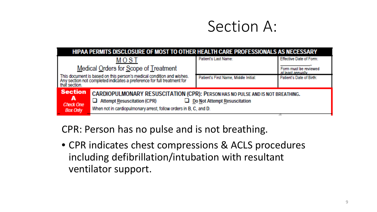### Section A:

| HIPAA PERMITS DISCLOSURE OF MOST TO OTHER HEALTH CARE PROFESSIONALS AS NECESSARY                                                                                                                                   |                                                                                                                                                                                           |                                       |                                                                       |  |
|--------------------------------------------------------------------------------------------------------------------------------------------------------------------------------------------------------------------|-------------------------------------------------------------------------------------------------------------------------------------------------------------------------------------------|---------------------------------------|-----------------------------------------------------------------------|--|
| MOST<br>Medical Orders for Scope of Treatment<br>This document is based on this person's medical condition and wishes.<br>Any section not completed indicates a preference for full treatment for<br>that section. |                                                                                                                                                                                           | Patient's Last Name:                  | Effective Date of Form:<br>Form must be reviewed<br>at least annually |  |
|                                                                                                                                                                                                                    |                                                                                                                                                                                           | Patient's First Name, Middle Initial: | Patient's Date of Birth:                                              |  |
| <b>Section</b><br>A<br><b>Check One</b><br><b>Box Only</b>                                                                                                                                                         | CARDIOPULMONARY RESUSCITATION (CPR): PERSON HAS NO PULSE AND IS NOT BREATHING.<br>$\Box$ Attempt Resuscitation (CPR)<br>When not in cardiopulmonary arrest, follow orders in B, C, and D. | $\Box$ Do Not Attempt Resuscitation   |                                                                       |  |

CPR: Person has no pulse and is not breathing.

• CPR indicates chest compressions & ACLS procedures including defibrillation/intubation with resultant ventilator support.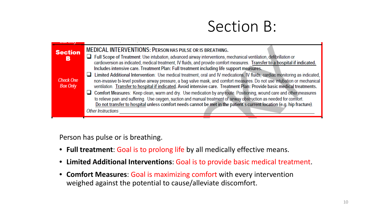### Section B:

| $00n$ $01n$                         |                                                                                                                                                                                                                                                                                                                                                                                                                                                                                                                                                                                                                                                                                                                                               |
|-------------------------------------|-----------------------------------------------------------------------------------------------------------------------------------------------------------------------------------------------------------------------------------------------------------------------------------------------------------------------------------------------------------------------------------------------------------------------------------------------------------------------------------------------------------------------------------------------------------------------------------------------------------------------------------------------------------------------------------------------------------------------------------------------|
| <b>Section</b><br>в                 | <b>MEDICAL INTERVENTIONS: PERSON HAS PULSE OR IS BREATHING.</b><br>Full Scope of Treatment: Use intubation, advanced airway interventions, mechanical ventilation, defibrillation or                                                                                                                                                                                                                                                                                                                                                                                                                                                                                                                                                          |
| <b>Check One</b><br><b>Box Only</b> | cardioversion as indicated, medical treatment, IV fluids, and provide comfort measures. Transfer to a hospital if indicated.<br>Includes intensive care. Treatment Plan: Full treatment including life support measures.<br>□ Limited Additional Intervention: Use medical treatment, oral and IV medications, IV fluids, cardiac monitoring as indicated,<br>non-invasive bi-level positive airway pressure, a bag valve mask, and comfort measures. Do not use intubation or mechanical<br>ventilation. Transfer to hospital if indicated. Avoid intensive care. Treatment Plan: Provide basic medical treatments.<br>□ Comfort Measures: Keep clean, warm and dry. Use medication by any route. Positioning, wound care and other measures |
|                                     | to relieve pain and suffering. Use oxygen, suction and manual treatment of airway obstruction as needed for comfort.<br>Do not transfer to hospital unless comfort needs cannot be met in the patient's current location (e.g. hip fracture).<br><b>Other Instructions</b>                                                                                                                                                                                                                                                                                                                                                                                                                                                                    |

Person has pulse or is breathing.

- **Full treatment**: Goal is to prolong life by all medically effective means.
- **Limited Additional Interventions**: Goal is to provide basic medical treatment.
- **Comfort Measures**: Goal is maximizing comfort with every intervention weighed against the potential to cause/alleviate discomfort.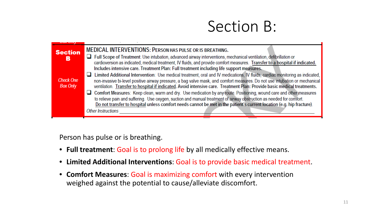### Section B:

| $U$ $U$ $I$ $II$                    |                                                                                                                                                                                                                                                                                                                      |
|-------------------------------------|----------------------------------------------------------------------------------------------------------------------------------------------------------------------------------------------------------------------------------------------------------------------------------------------------------------------|
| <b>Section</b><br>в                 | <b>MEDICAL INTERVENTIONS: PERSON HAS PULSE OR IS BREATHING.</b><br>Full Scope of Treatment: Use intubation, advanced airway interventions, mechanical ventilation, defibrillation or<br>cardioversion as indicated, medical treatment, IV fluids, and provide comfort measures. Transfer to a hospital if indicated. |
|                                     | Includes intensive care. Treatment Plan: Full treatment including life support measures.                                                                                                                                                                                                                             |
|                                     | □ Limited Additional Intervention: Use medical treatment, oral and IV medications, IV fluids, cardiac monitoring as indicated,                                                                                                                                                                                       |
| <b>Check One</b><br><b>Box Only</b> | non-invasive bi-level positive airway pressure, a bag valve mask, and comfort measures. Do not use intubation or mechanical<br>ventilation. Transfer to hospital if indicated. Avoid intensive care. Treatment Plan: Provide basic medical treatments.                                                               |
|                                     | Comfort Measures: Keep clean, warm and dry. Use medication by any route. Positioning, wound care and other measures                                                                                                                                                                                                  |
|                                     | to relieve pain and suffering. Use oxygen, suction and manual treatment of airway obstruction as needed for comfort.<br>Do not transfer to hospital unless comfort needs cannot be met in the patient's current location (e.g. hip fracture).                                                                        |
|                                     | <b>Other Instructions</b>                                                                                                                                                                                                                                                                                            |
|                                     |                                                                                                                                                                                                                                                                                                                      |

Person has pulse or is breathing.

- **Full treatment**: Goal is to prolong life by all medically effective means.
- **Limited Additional Interventions**: Goal is to provide basic medical treatment.
- **Comfort Measures**: Goal is maximizing comfort with every intervention weighed against the potential to cause/alleviate discomfort.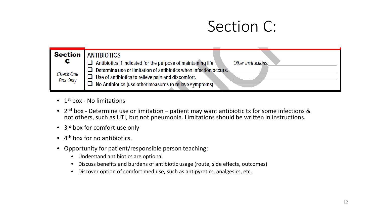### Section C:

| <b>Section</b>        | <b>ANTIBIOTICS</b>                                                                                                                                                                                                          |                     |
|-----------------------|-----------------------------------------------------------------------------------------------------------------------------------------------------------------------------------------------------------------------------|---------------------|
| C<br><b>Check One</b> | Antibiotics if indicated for the purpose of maintaining life<br>Determine use or limitation of antibiotics when infection occurs.<br>$\mathbb{R}^{\mathbb{N}}$<br>$\Box$ Use of antibiotics to relieve pain and discomfort. | Other instructions: |
| <b>Box Only</b>       | No Antibiotics (use other measures to relieve symptoms).                                                                                                                                                                    |                     |

- $\bullet$  1<sup>st</sup> box No limitations
- 2<sup>nd</sup> box Determine use or limitation patient may want antibiotic tx for some infections & not others, such as UTI, but not pneumonia. Limitations should be written in instructions.
- 3<sup>rd</sup> box for comfort use only
- $\bullet$  4<sup>th</sup> box for no antibiotics.
- Opportunity for patient/responsible person teaching:
	- Understand antibiotics are optional
	- Discuss benefits and burdens of antibiotic usage (route, side effects, outcomes)
	- Discover option of comfort med use, such as antipyretics, analgesics, etc.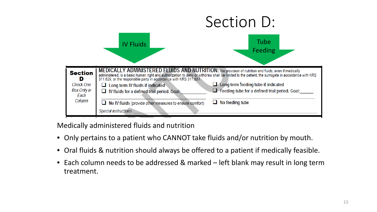

Medically administered fluids and nutrition

- Only pertains to a patient who CANNOT take fluids and/or nutrition by mouth.
- Oral fluids & nutrition should always be offered to a patient if medically feasible.
- Each column needs to be addressed & marked left blank may result in long term treatment.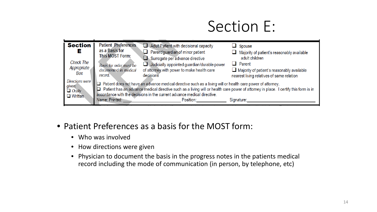### Section E:

| <b>Section</b><br>Е                                          | <b>Patient Preferences</b><br>as a Basis for<br><b>This MOST Form:</b> | $\Box$ Adult Patient with decisional capacity<br>$\Box$ Parent/guardian of minor patient<br>$\Box$ Surrogate per advance directive                                                                                                                                                                                                                                                                                                                                                                                                                                            | $\Box$ Spouse<br>Majority of patient's reasonably available<br>adult children                                   |
|--------------------------------------------------------------|------------------------------------------------------------------------|-------------------------------------------------------------------------------------------------------------------------------------------------------------------------------------------------------------------------------------------------------------------------------------------------------------------------------------------------------------------------------------------------------------------------------------------------------------------------------------------------------------------------------------------------------------------------------|-----------------------------------------------------------------------------------------------------------------|
| <b>Check The</b><br>Appropriate<br>Box                       | Basis for order must be<br>documented in medical<br>record.            | $\Box$ Judicially appointed guardian/durable power<br>of attorney with power to make health care<br>decisions                                                                                                                                                                                                                                                                                                                                                                                                                                                                 | $\Box$ Parent<br>$\Box$ Majority of patient's reasonably available<br>nearest living relatives of same relation |
| Directions were<br>given:<br>$\Box$ Orally<br>$\Box$ Written | Name: Printed:                                                         | $\Box$ Patient does not have an advance medical directive such as a living will or health care power of attorney.<br>□ Patient has an advance medical directive such as a living will or health care power of attorney in place. I certify this form is in<br>accordance with the decisions in the current advance medical directive.<br>Position: <b>Contract Contract Contract Contract Contract Contract Contract Contract Contract Contract Contract Contract Contract Contract Contract Contract Contract Contract Contract Contract Contract Contract Contract Cont</b> | Signature:                                                                                                      |

- Patient Preferences as a basis for the MOST form:
	- Who was involved
	- How directions were given
	- Physician to document the basis in the progress notes in the patients medical record including the mode of communication (in person, by telephone, etc)